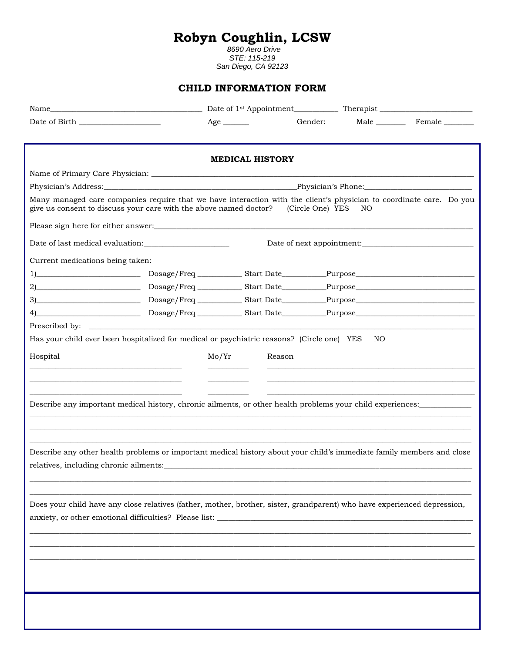## **Robyn Coughlin, LCSW**

*8690 Aero Drive STE: 115-219 San Diego, CA 92123*

## **CHILD INFORMATION FORM**

|                                        | Name and the contract of the contract of the contract of the contract of the contract of the contract of the contract of the contract of the contract of the contract of the contract of the contract of the contract of the c |                           |                  |     |             |  |
|----------------------------------------|--------------------------------------------------------------------------------------------------------------------------------------------------------------------------------------------------------------------------------|---------------------------|------------------|-----|-------------|--|
|                                        |                                                                                                                                                                                                                                | $Age \_$                  | Gender:          |     | Male Female |  |
|                                        |                                                                                                                                                                                                                                | <b>MEDICAL HISTORY</b>    |                  |     |             |  |
|                                        |                                                                                                                                                                                                                                |                           |                  |     |             |  |
|                                        | Physician's Address: Physician's Phone: Physician's Phone: Physician's Phone:                                                                                                                                                  |                           |                  |     |             |  |
|                                        | Many managed care companies require that we have interaction with the client's physician to coordinate care. Do you<br>give us consent to discuss your care with the above named doctor?                                       |                           | (Circle One) YES | NO  |             |  |
|                                        |                                                                                                                                                                                                                                |                           |                  |     |             |  |
|                                        |                                                                                                                                                                                                                                | Date of next appointment: |                  |     |             |  |
| Current medications being taken:       |                                                                                                                                                                                                                                |                           |                  |     |             |  |
|                                        |                                                                                                                                                                                                                                |                           |                  |     |             |  |
|                                        |                                                                                                                                                                                                                                |                           |                  |     |             |  |
|                                        |                                                                                                                                                                                                                                |                           |                  |     |             |  |
|                                        |                                                                                                                                                                                                                                |                           |                  |     |             |  |
|                                        | Prescribed by:                                                                                                                                                                                                                 |                           |                  |     |             |  |
|                                        | Has your child ever been hospitalized for medical or psychiatric reasons? (Circle one) YES                                                                                                                                     |                           |                  | NO. |             |  |
| Hospital                               |                                                                                                                                                                                                                                | Mo/Yr<br>Reason           |                  |     |             |  |
|                                        |                                                                                                                                                                                                                                |                           |                  |     |             |  |
|                                        |                                                                                                                                                                                                                                |                           |                  |     |             |  |
|                                        |                                                                                                                                                                                                                                |                           |                  |     |             |  |
|                                        | Describe any important medical history, chronic ailments, or other health problems your child experiences:                                                                                                                     |                           |                  |     |             |  |
|                                        |                                                                                                                                                                                                                                |                           |                  |     |             |  |
|                                        |                                                                                                                                                                                                                                |                           |                  |     |             |  |
|                                        | Describe any other health problems or important medical history about your child's immediate family members and close                                                                                                          |                           |                  |     |             |  |
| relatives, including chronic ailments: |                                                                                                                                                                                                                                |                           |                  |     |             |  |
|                                        |                                                                                                                                                                                                                                |                           |                  |     |             |  |
|                                        |                                                                                                                                                                                                                                |                           |                  |     |             |  |
|                                        | Does your child have any close relatives (father, mother, brother, sister, grandparent) who have experienced depression,                                                                                                       |                           |                  |     |             |  |
|                                        | anxiety, or other emotional difficulties? Please list:                                                                                                                                                                         |                           |                  |     |             |  |
|                                        |                                                                                                                                                                                                                                |                           |                  |     |             |  |
|                                        |                                                                                                                                                                                                                                |                           |                  |     |             |  |
|                                        |                                                                                                                                                                                                                                |                           |                  |     |             |  |
|                                        |                                                                                                                                                                                                                                |                           |                  |     |             |  |
|                                        |                                                                                                                                                                                                                                |                           |                  |     |             |  |
|                                        |                                                                                                                                                                                                                                |                           |                  |     |             |  |
|                                        |                                                                                                                                                                                                                                |                           |                  |     |             |  |
|                                        |                                                                                                                                                                                                                                |                           |                  |     |             |  |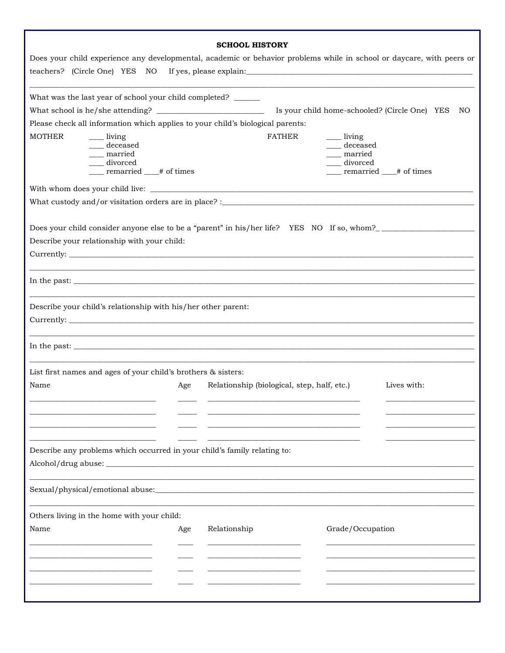|                                                                                                                                                                                                                                                                                                                                                                                                                                                              |                                             |                                               | Does your child experience any developmental, academic or behavior problems while in school or daycare, with peers or |    |
|--------------------------------------------------------------------------------------------------------------------------------------------------------------------------------------------------------------------------------------------------------------------------------------------------------------------------------------------------------------------------------------------------------------------------------------------------------------|---------------------------------------------|-----------------------------------------------|-----------------------------------------------------------------------------------------------------------------------|----|
|                                                                                                                                                                                                                                                                                                                                                                                                                                                              |                                             |                                               |                                                                                                                       |    |
| What was the last year of school your child completed? ______                                                                                                                                                                                                                                                                                                                                                                                                |                                             |                                               |                                                                                                                       |    |
|                                                                                                                                                                                                                                                                                                                                                                                                                                                              |                                             | Is your child home-schooled? (Circle One) YES |                                                                                                                       | NO |
| Please check all information which applies to your child's biological parents:                                                                                                                                                                                                                                                                                                                                                                               |                                             |                                               |                                                                                                                       |    |
| <b>MOTHER</b><br>living<br>deceased                                                                                                                                                                                                                                                                                                                                                                                                                          | <b>FATHER</b>                               | <u>_</u> __ living<br>deceased                |                                                                                                                       |    |
| married                                                                                                                                                                                                                                                                                                                                                                                                                                                      |                                             | married                                       |                                                                                                                       |    |
| divorced                                                                                                                                                                                                                                                                                                                                                                                                                                                     |                                             | divorced                                      |                                                                                                                       |    |
| remarried # of times                                                                                                                                                                                                                                                                                                                                                                                                                                         |                                             | ____ remarried ____# of times                 |                                                                                                                       |    |
|                                                                                                                                                                                                                                                                                                                                                                                                                                                              |                                             |                                               |                                                                                                                       |    |
|                                                                                                                                                                                                                                                                                                                                                                                                                                                              |                                             |                                               |                                                                                                                       |    |
| Does your child consider anyone else to be a "parent" in his/her life? YES NO If so, whom?<br>Describe your relationship with your child:                                                                                                                                                                                                                                                                                                                    |                                             |                                               |                                                                                                                       |    |
| In the past:                                                                                                                                                                                                                                                                                                                                                                                                                                                 |                                             |                                               |                                                                                                                       |    |
| Describe your child's relationship with his/her other parent:                                                                                                                                                                                                                                                                                                                                                                                                |                                             |                                               |                                                                                                                       |    |
| In the past: $\frac{1}{\sqrt{1-\frac{1}{2}}}\left\{1-\frac{1}{2}\left(\frac{1}{2}-\frac{1}{2}\right)\left(\frac{1}{2}-\frac{1}{2}\right)\left(\frac{1}{2}-\frac{1}{2}\right)\left(\frac{1}{2}-\frac{1}{2}\right)\left(\frac{1}{2}-\frac{1}{2}\right)\left(\frac{1}{2}-\frac{1}{2}\right)\left(\frac{1}{2}-\frac{1}{2}\right)\left(\frac{1}{2}-\frac{1}{2}\right)\left(\frac{1}{2}-\frac{1}{2}\right)\left(\frac{1}{2}-\frac{1}{2}\right)\left(\frac{1}{2}-\$ |                                             |                                               |                                                                                                                       |    |
| List first names and ages of your child's brothers & sisters:                                                                                                                                                                                                                                                                                                                                                                                                |                                             |                                               |                                                                                                                       |    |
| Name<br>Age                                                                                                                                                                                                                                                                                                                                                                                                                                                  | Relationship (biological, step, half, etc.) |                                               | Lives with:                                                                                                           |    |
| ___________                                                                                                                                                                                                                                                                                                                                                                                                                                                  |                                             |                                               |                                                                                                                       |    |
|                                                                                                                                                                                                                                                                                                                                                                                                                                                              |                                             |                                               |                                                                                                                       |    |
|                                                                                                                                                                                                                                                                                                                                                                                                                                                              |                                             |                                               |                                                                                                                       |    |
| Describe any problems which occurred in your child's family relating to:                                                                                                                                                                                                                                                                                                                                                                                     |                                             |                                               |                                                                                                                       |    |
|                                                                                                                                                                                                                                                                                                                                                                                                                                                              |                                             |                                               |                                                                                                                       |    |
|                                                                                                                                                                                                                                                                                                                                                                                                                                                              |                                             |                                               |                                                                                                                       |    |
| Others living in the home with your child:                                                                                                                                                                                                                                                                                                                                                                                                                   |                                             |                                               |                                                                                                                       |    |
| Name<br>Age                                                                                                                                                                                                                                                                                                                                                                                                                                                  | Relationship                                | Grade/Occupation                              |                                                                                                                       |    |
|                                                                                                                                                                                                                                                                                                                                                                                                                                                              |                                             |                                               |                                                                                                                       |    |
|                                                                                                                                                                                                                                                                                                                                                                                                                                                              |                                             |                                               |                                                                                                                       |    |
|                                                                                                                                                                                                                                                                                                                                                                                                                                                              |                                             |                                               |                                                                                                                       |    |
|                                                                                                                                                                                                                                                                                                                                                                                                                                                              |                                             |                                               |                                                                                                                       |    |